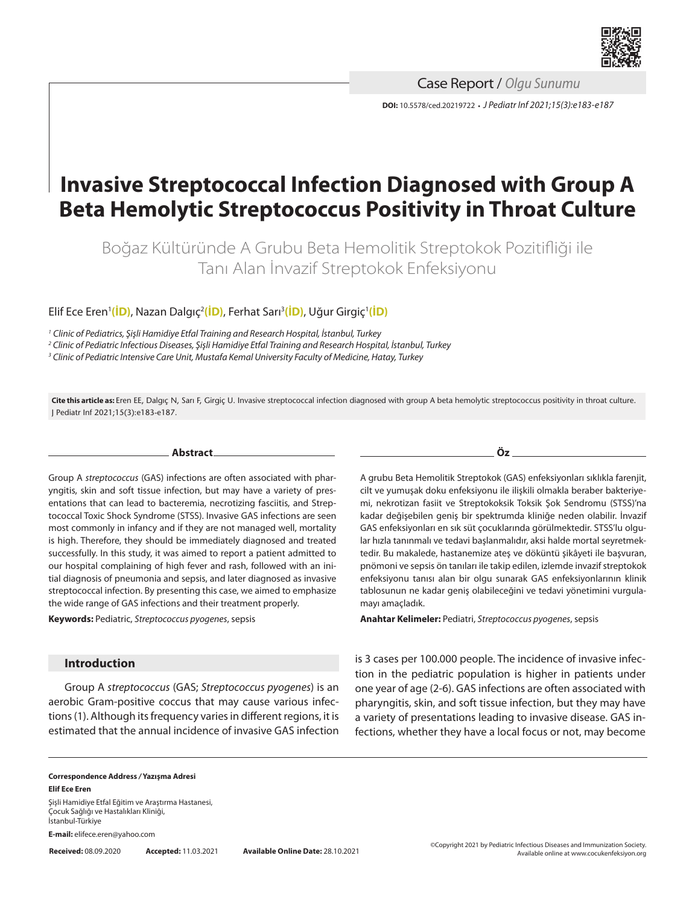

**DOI:** 10.5578/ced.20219722 **•** *J Pediatr Inf 2021;15(3):e183-e187* Case Report / *Olgu Sunumu*

# **Invasive Streptococcal Infection Diagnosed with Group A Beta Hemolytic Streptococcus Positivity in Throat Culture**

Boğaz Kültüründe A Grubu Beta Hemolitik Streptokok Pozitifliği ile Tanı Alan İnvazif Streptokok Enfeksiyonu

Elif Ece Eren'(<mark>İD</mark>), Nazan Dalgıç<sup>2</sup>[\(İD\)](https://orcid.org/0000-0001-6853-8139), Ferhat Sarı<sup>3</sup>(İD), Uğur Girgiç<sup>1</sup>(İD)

*<sup>1</sup> Clinic of Pediatrics, Şişli Hamidiye Etfal Training and Research Hospital, İstanbul, Turkey*

*2 Clinic of Pediatric Infectious Diseases, Şişli Hamidiye Etfal Training and Research Hospital, İstanbul, Turkey*

*3 Clinic of Pediatric Intensive Care Unit, Mustafa Kemal University Faculty of Medicine, Hatay, Turkey*

**Cite this article as:** Eren EE, Dalgıç N, Sarı F, Girgiç U. Invasive streptococcal infection diagnosed with group A beta hemolytic streptococcus positivity in throat culture. J Pediatr Inf 2021;15(3):e183-e187.

**Abstract**

Group A *streptococcus* (GAS) infections are often associated with pharyngitis, skin and soft tissue infection, but may have a variety of presentations that can lead to bacteremia, necrotizing fasciitis, and Streptococcal Toxic Shock Syndrome (STSS). Invasive GAS infections are seen most commonly in infancy and if they are not managed well, mortality is high. Therefore, they should be immediately diagnosed and treated successfully. In this study, it was aimed to report a patient admitted to our hospital complaining of high fever and rash, followed with an initial diagnosis of pneumonia and sepsis, and later diagnosed as invasive streptococcal infection. By presenting this case, we aimed to emphasize the wide range of GAS infections and their treatment properly.

**Keywords:** Pediatric, *Streptococcus pyogenes*, sepsis

# **Introduction**

Group A *streptococcus* (GAS; *Streptococcus pyogenes*) is an aerobic Gram-positive coccus that may cause various infections (1). Although its frequency varies in different regions, it is estimated that the annual incidence of invasive GAS infection A grubu Beta Hemolitik Streptokok (GAS) enfeksiyonları sıklıkla farenjit, cilt ve yumuşak doku enfeksiyonu ile ilişkili olmakla beraber bakteriyemi, nekrotizan fasiit ve Streptokoksik Toksik Şok Sendromu (STSS)'na kadar değişebilen geniş bir spektrumda kliniğe neden olabilir. İnvazif GAS enfeksiyonları en sık süt çocuklarında görülmektedir. STSS'lu olgular hızla tanınmalı ve tedavi başlanmalıdır, aksi halde mortal seyretmektedir. Bu makalede, hastanemize ateş ve döküntü şikâyeti ile başvuran, pnömoni ve sepsis ön tanıları ile takip edilen, izlemde invazif streptokok enfeksiyonu tanısı alan bir olgu sunarak GAS enfeksiyonlarının klinik tablosunun ne kadar geniş olabileceğini ve tedavi yönetimini vurgulamayı amaçladık.

**Anahtar Kelimeler:** Pediatri, *Streptococcus pyogenes*, sepsis

is 3 cases per 100.000 people. The incidence of invasive infection in the pediatric population is higher in patients under one year of age (2-6). GAS infections are often associated with pharyngitis, skin, and soft tissue infection, but they may have a variety of presentations leading to invasive disease. GAS infections, whether they have a local focus or not, may become

#### **Correspondence Address** */* **Yazışma Adresi Elif Ece Eren**

Şişli Hamidiye Etfal Eğitim ve Araştırma Hastanesi, Çocuk Sağlığı ve Hastalıkları Kliniği, İstanbul-Türkiye

**E-mail:** elifece.eren@yahoo.com

**Öz**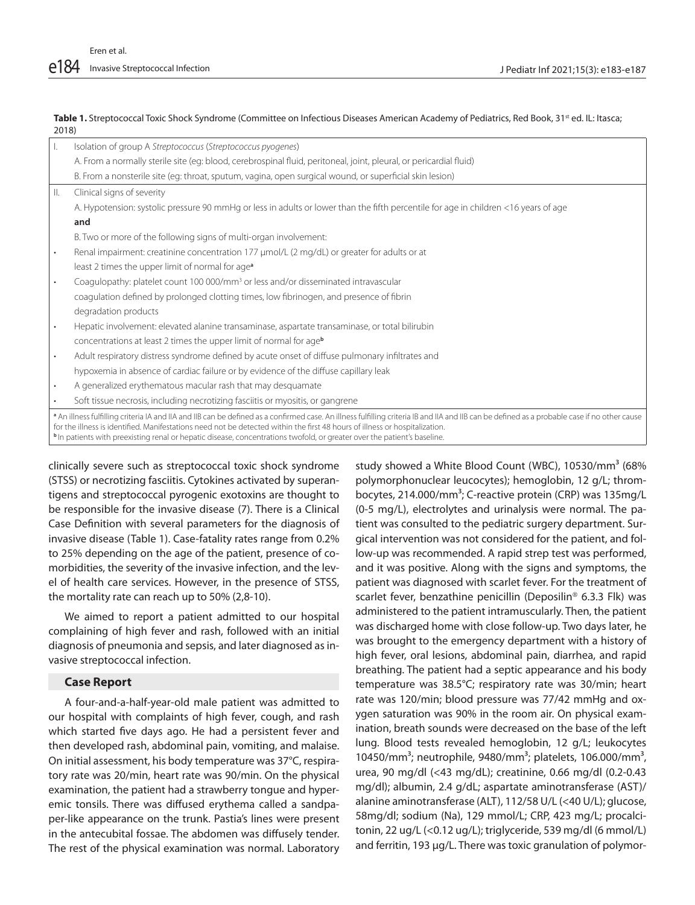#### Table 1. Streptococcal Toxic Shock Syndrome (Committee on Infectious Diseases American Academy of Pediatrics, Red Book, 31<sup>st</sup> ed. IL: Itasca; 2018)

|                                                                                                                                                                                                                                                                                                                                                                                                                                                        | Isolation of group A Streptococcus (Streptococcus pyogenes)                                                                         |
|--------------------------------------------------------------------------------------------------------------------------------------------------------------------------------------------------------------------------------------------------------------------------------------------------------------------------------------------------------------------------------------------------------------------------------------------------------|-------------------------------------------------------------------------------------------------------------------------------------|
|                                                                                                                                                                                                                                                                                                                                                                                                                                                        | A. From a normally sterile site (eg: blood, cerebrospinal fluid, peritoneal, joint, pleural, or pericardial fluid)                  |
|                                                                                                                                                                                                                                                                                                                                                                                                                                                        | B. From a nonsterile site (eg: throat, sputum, vagina, open surgical wound, or superficial skin lesion)                             |
| Ш.                                                                                                                                                                                                                                                                                                                                                                                                                                                     | Clinical signs of severity                                                                                                          |
|                                                                                                                                                                                                                                                                                                                                                                                                                                                        | A. Hypotension: systolic pressure 90 mmHg or less in adults or lower than the fifth percentile for age in children <16 years of age |
|                                                                                                                                                                                                                                                                                                                                                                                                                                                        | and                                                                                                                                 |
|                                                                                                                                                                                                                                                                                                                                                                                                                                                        | B. Two or more of the following signs of multi-organ involvement:                                                                   |
|                                                                                                                                                                                                                                                                                                                                                                                                                                                        | Renal impairment: creatinine concentration 177 µmol/L (2 mg/dL) or greater for adults or at                                         |
|                                                                                                                                                                                                                                                                                                                                                                                                                                                        | least 2 times the upper limit of normal for age <sup>a</sup>                                                                        |
| ٠                                                                                                                                                                                                                                                                                                                                                                                                                                                      | Coagulopathy: platelet count 100 000/mm <sup>3</sup> or less and/or disseminated intravascular                                      |
|                                                                                                                                                                                                                                                                                                                                                                                                                                                        | coagulation defined by prolonged clotting times, low fibrinogen, and presence of fibrin                                             |
|                                                                                                                                                                                                                                                                                                                                                                                                                                                        | degradation products                                                                                                                |
| $\bullet$                                                                                                                                                                                                                                                                                                                                                                                                                                              | Hepatic involvement: elevated alanine transaminase, aspartate transaminase, or total bilirubin                                      |
|                                                                                                                                                                                                                                                                                                                                                                                                                                                        | concentrations at least 2 times the upper limit of normal for ageb                                                                  |
|                                                                                                                                                                                                                                                                                                                                                                                                                                                        | Adult respiratory distress syndrome defined by acute onset of diffuse pulmonary infiltrates and                                     |
|                                                                                                                                                                                                                                                                                                                                                                                                                                                        | hypoxemia in absence of cardiac failure or by evidence of the diffuse capillary leak                                                |
|                                                                                                                                                                                                                                                                                                                                                                                                                                                        | A generalized erythematous macular rash that may desquamate                                                                         |
|                                                                                                                                                                                                                                                                                                                                                                                                                                                        | Soft tissue necrosis, including necrotizing fasciitis or myositis, or gangrene                                                      |
| a An illness fulfilling criteria IA and IIA and IIB can be defined as a confirmed case. An illness fulfilling criteria IB and IIA and IIB can be defined as a probable case if no other cause<br>for the illness is identified. Manifestations need not be detected within the first 48 hours of illness or hospitalization.<br>In patients with preexisting renal or hepatic disease, concentrations twofold, or greater over the patient's baseline. |                                                                                                                                     |

clinically severe such as streptococcal toxic shock syndrome (STSS) or necrotizing fasciitis. Cytokines activated by superantigens and streptococcal pyrogenic exotoxins are thought to be responsible for the invasive disease (7). There is a Clinical Case Definition with several parameters for the diagnosis of invasive disease (Table 1). Case-fatality rates range from 0.2% to 25% depending on the age of the patient, presence of comorbidities, the severity of the invasive infection, and the level of health care services. However, in the presence of STSS, the mortality rate can reach up to 50% (2,8-10).

We aimed to report a patient admitted to our hospital complaining of high fever and rash, followed with an initial diagnosis of pneumonia and sepsis, and later diagnosed as invasive streptococcal infection.

## **Case Report**

A four-and-a-half-year-old male patient was admitted to our hospital with complaints of high fever, cough, and rash which started five days ago. He had a persistent fever and then developed rash, abdominal pain, vomiting, and malaise. On initial assessment, his body temperature was 37°C, respiratory rate was 20/min, heart rate was 90/min. On the physical examination, the patient had a strawberry tongue and hyperemic tonsils. There was diffused erythema called a sandpaper-like appearance on the trunk. Pastia's lines were present in the antecubital fossae. The abdomen was diffusely tender. The rest of the physical examination was normal. Laboratory

study showed a White Blood Count (WBC), 10530/mm<sup>3</sup> (68% polymorphonuclear leucocytes); hemoglobin, 12 g/L; thrombocytes, 214.000/mm<sup>3</sup>; C-reactive protein (CRP) was 135mg/L (0-5 mg/L), electrolytes and urinalysis were normal. The patient was consulted to the pediatric surgery department. Surgical intervention was not considered for the patient, and follow-up was recommended. A rapid strep test was performed, and it was positive. Along with the signs and symptoms, the patient was diagnosed with scarlet fever. For the treatment of scarlet fever, benzathine penicillin (Deposilin® 6.3.3 Flk) was administered to the patient intramuscularly. Then, the patient was discharged home with close follow-up. Two days later, he was brought to the emergency department with a history of high fever, oral lesions, abdominal pain, diarrhea, and rapid breathing. The patient had a septic appearance and his body temperature was 38.5°C; respiratory rate was 30/min; heart rate was 120/min; blood pressure was 77/42 mmHg and oxygen saturation was 90% in the room air. On physical examination, breath sounds were decreased on the base of the left lung. Blood tests revealed hemoglobin, 12 g/L; leukocytes 10450/mm<sup>3</sup>; neutrophile, 9480/mm<sup>3</sup>; platelets, 106.000/mm<sup>3</sup>, urea, 90 mg/dl (<43 mg/dL); creatinine, 0.66 mg/dl (0.2-0.43 mg/dl); albumin, 2.4 g/dL; aspartate aminotransferase (AST)/ alanine aminotransferase (ALT), 112/58 U/L (<40 U/L); glucose, 58mg/dl; sodium (Na), 129 mmol/L; CRP, 423 mg/L; procalcitonin, 22 ug/L (<0.12 ug/L); triglyceride, 539 mg/dl (6 mmol/L) and ferritin, 193 µg/L. There was toxic granulation of polymor-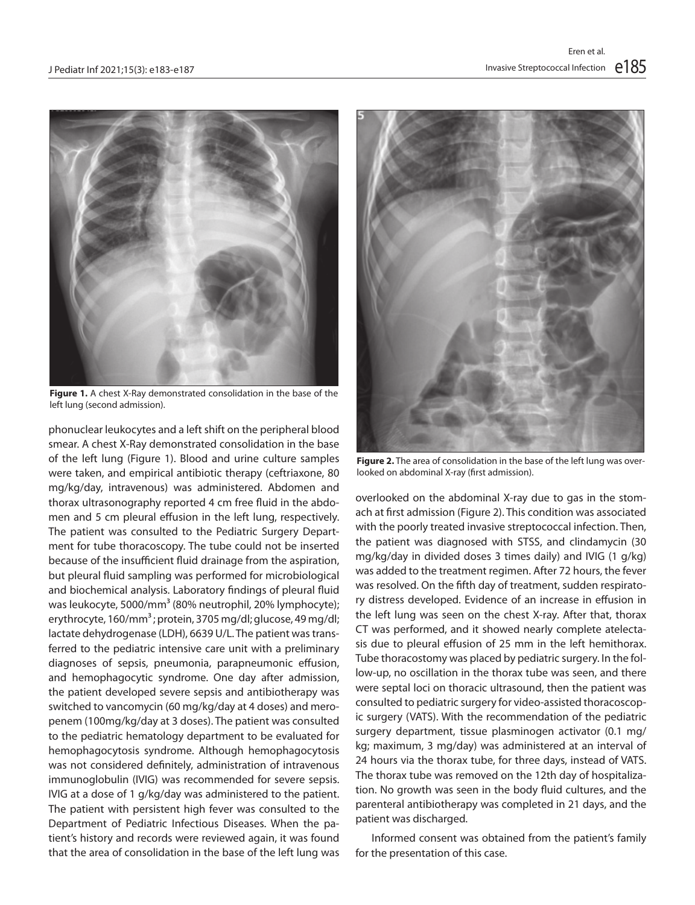

**Figure 1.** A chest X-Ray demonstrated consolidation in the base of the left lung (second admission).

phonuclear leukocytes and a left shift on the peripheral blood smear. A chest X-Ray demonstrated consolidation in the base of the left lung (Figure 1). Blood and urine culture samples were taken, and empirical antibiotic therapy (ceftriaxone, 80 mg/kg/day, intravenous) was administered. Abdomen and thorax ultrasonography reported 4 cm free fluid in the abdomen and 5 cm pleural effusion in the left lung, respectively. The patient was consulted to the Pediatric Surgery Department for tube thoracoscopy. The tube could not be inserted because of the insufficient fluid drainage from the aspiration, but pleural fluid sampling was performed for microbiological and biochemical analysis. Laboratory findings of pleural fluid was leukocyte, 5000/mm<sup>3</sup> (80% neutrophil, 20% lymphocyte); erythrocyte, 160/mm<sup>3</sup>; protein, 3705 mg/dl; glucose, 49 mg/dl; lactate dehydrogenase (LDH), 6639 U/L. The patient was transferred to the pediatric intensive care unit with a preliminary diagnoses of sepsis, pneumonia, parapneumonic effusion, and hemophagocytic syndrome. One day after admission, the patient developed severe sepsis and antibiotherapy was switched to vancomycin (60 mg/kg/day at 4 doses) and meropenem (100mg/kg/day at 3 doses). The patient was consulted to the pediatric hematology department to be evaluated for hemophagocytosis syndrome. Although hemophagocytosis was not considered definitely, administration of intravenous immunoglobulin (IVIG) was recommended for severe sepsis. IVIG at a dose of 1 g/kg/day was administered to the patient. The patient with persistent high fever was consulted to the Department of Pediatric Infectious Diseases. When the patient's history and records were reviewed again, it was found that the area of consolidation in the base of the left lung was



**Figure 2.** The area of consolidation in the base of the left lung was overlooked on abdominal X-ray (first admission).

overlooked on the abdominal X-ray due to gas in the stomach at first admission (Figure 2). This condition was associated with the poorly treated invasive streptococcal infection. Then, the patient was diagnosed with STSS, and clindamycin (30 mg/kg/day in divided doses 3 times daily) and IVIG (1 g/kg) was added to the treatment regimen. After 72 hours, the fever was resolved. On the fifth day of treatment, sudden respiratory distress developed. Evidence of an increase in effusion in the left lung was seen on the chest X-ray. After that, thorax CT was performed, and it showed nearly complete atelectasis due to pleural effusion of 25 mm in the left hemithorax. Tube thoracostomy was placed by pediatric surgery. In the follow-up, no oscillation in the thorax tube was seen, and there were septal loci on thoracic ultrasound, then the patient was consulted to pediatric surgery for video-assisted thoracoscopic surgery (VATS). With the recommendation of the pediatric surgery department, tissue plasminogen activator (0.1 mg/ kg; maximum, 3 mg/day) was administered at an interval of 24 hours via the thorax tube, for three days, instead of VATS. The thorax tube was removed on the 12th day of hospitalization. No growth was seen in the body fluid cultures, and the parenteral antibiotherapy was completed in 21 days, and the patient was discharged.

Informed consent was obtained from the patient's family for the presentation of this case.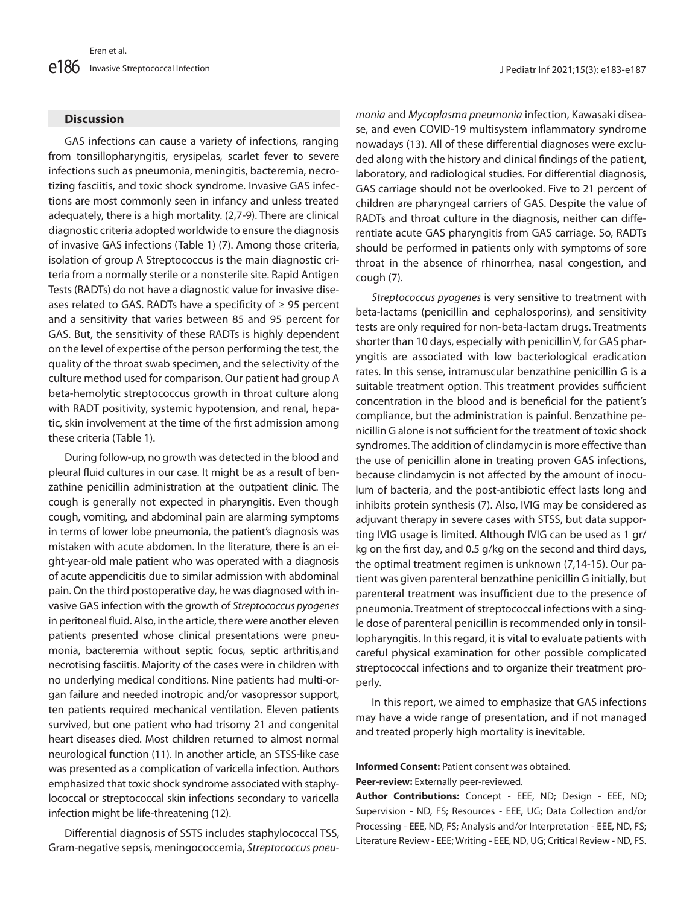#### **Discussion**

GAS infections can cause a variety of infections, ranging from tonsillopharyngitis, erysipelas, scarlet fever to severe infections such as pneumonia, meningitis, bacteremia, necrotizing fasciitis, and toxic shock syndrome. Invasive GAS infections are most commonly seen in infancy and unless treated adequately, there is a high mortality. (2,7-9). There are clinical diagnostic criteria adopted worldwide to ensure the diagnosis of invasive GAS infections (Table 1) (7). Among those criteria, isolation of group A Streptococcus is the main diagnostic criteria from a normally sterile or a nonsterile site. Rapid Antigen Tests (RADTs) do not have a diagnostic value for invasive diseases related to GAS. RADTs have a specificity of  $\geq$  95 percent and a sensitivity that varies between 85 and 95 percent for GAS. But, the sensitivity of these RADTs is highly dependent on the level of expertise of the person performing the test, the quality of the throat swab specimen, and the selectivity of the culture method used for comparison. Our patient had group A beta-hemolytic streptococcus growth in throat culture along with RADT positivity, systemic hypotension, and renal, hepatic, skin involvement at the time of the first admission among these criteria (Table 1).

During follow-up, no growth was detected in the blood and pleural fluid cultures in our case. It might be as a result of benzathine penicillin administration at the outpatient clinic. The cough is generally not expected in pharyngitis. Even though cough, vomiting, and abdominal pain are alarming symptoms in terms of lower lobe pneumonia, the patient's diagnosis was mistaken with acute abdomen. In the literature, there is an eight-year-old male patient who was operated with a diagnosis of acute appendicitis due to similar admission with abdominal pain. On the third postoperative day, he was diagnosed with invasive GAS infection with the growth of *Streptococcus pyogenes* in peritoneal fluid. Also, in the article, there were another eleven patients presented whose clinical presentations were pneumonia, bacteremia without septic focus, septic arthritis,and necrotising fasciitis. Majority of the cases were in children with no underlying medical conditions. Nine patients had multi-organ failure and needed inotropic and/or vasopressor support, ten patients required mechanical ventilation. Eleven patients survived, but one patient who had trisomy 21 and congenital heart diseases died. Most children returned to almost normal neurological function (11). In another article, an STSS-like case was presented as a complication of varicella infection. Authors emphasized that toxic shock syndrome associated with staphylococcal or streptococcal skin infections secondary to varicella infection might be life-threatening (12).

Differential diagnosis of SSTS includes staphylococcal TSS, Gram-negative sepsis, meningococcemia, *Streptococcus pneu-*

*monia* and *Mycoplasma pneumonia* infection, Kawasaki disease, and even COVID-19 multisystem inflammatory syndrome nowadays (13). All of these differential diagnoses were excluded along with the history and clinical findings of the patient, laboratory, and radiological studies. For differential diagnosis, GAS carriage should not be overlooked. Five to 21 percent of children are pharyngeal carriers of GAS. Despite the value of RADTs and throat culture in the diagnosis, neither can differentiate acute GAS pharyngitis from GAS carriage. So, RADTs should be performed in patients only with symptoms of sore throat in the absence of rhinorrhea, nasal congestion, and cough (7).

*Streptococcus pyogenes* is very sensitive to treatment with beta-lactams (penicillin and cephalosporins), and sensitivity tests are only required for non-beta-lactam drugs. Treatments shorter than 10 days, especially with penicillin V, for GAS pharyngitis are associated with low bacteriological eradication rates. In this sense, intramuscular benzathine penicillin G is a suitable treatment option. This treatment provides sufficient concentration in the blood and is beneficial for the patient's compliance, but the administration is painful. Benzathine penicillin G alone is not sufficient for the treatment of toxic shock syndromes. The addition of clindamycin is more effective than the use of penicillin alone in treating proven GAS infections, because clindamycin is not affected by the amount of inoculum of bacteria, and the post-antibiotic effect lasts long and inhibits protein synthesis (7). Also, IVIG may be considered as adjuvant therapy in severe cases with STSS, but data supporting IVIG usage is limited. Although IVIG can be used as 1 gr/ kg on the first day, and 0.5 g/kg on the second and third days, the optimal treatment regimen is unknown (7,14-15). Our patient was given parenteral benzathine penicillin G initially, but parenteral treatment was insufficient due to the presence of pneumonia. Treatment of streptococcal infections with a single dose of parenteral penicillin is recommended only in tonsillopharyngitis. In this regard, it is vital to evaluate patients with careful physical examination for other possible complicated streptococcal infections and to organize their treatment properly.

In this report, we aimed to emphasize that GAS infections may have a wide range of presentation, and if not managed and treated properly high mortality is inevitable.

# **Informed Consent:** Patient consent was obtained.

**Peer-review:** Externally peer-reviewed.

L

**Author Contributions:** Concept - EEE, ND; Design - EEE, ND; Supervision - ND, FS; Resources - EEE, UG; Data Collection and/or Processing - EEE, ND, FS; Analysis and/or Interpretation - EEE, ND, FS; Literature Review - EEE; Writing - EEE, ND, UG; Critical Review - ND, FS.